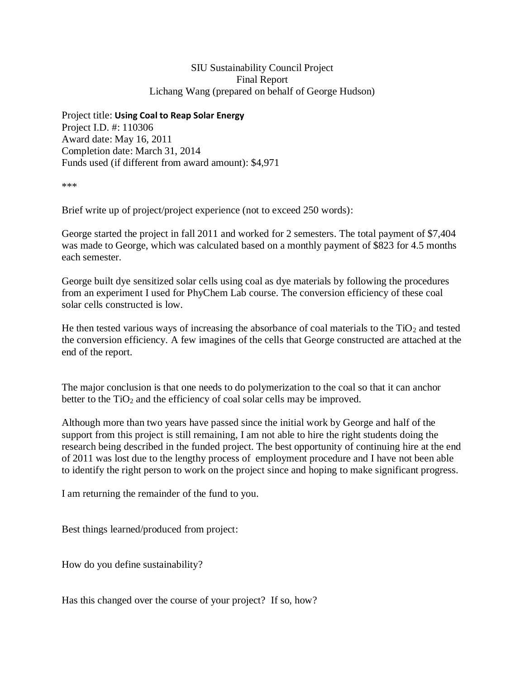## SIU Sustainability Council Project Final Report Lichang Wang (prepared on behalf of George Hudson)

Project title: **Using Coal to Reap Solar Energy**  Project I.D. #: 110306 Award date: May 16, 2011 Completion date: March 31, 2014 Funds used (if different from award amount): \$4,971

\*\*\*

Brief write up of project/project experience (not to exceed 250 words):

George started the project in fall 2011 and worked for 2 semesters. The total payment of \$7,404 was made to George, which was calculated based on a monthly payment of \$823 for 4.5 months each semester.

George built dye sensitized solar cells using coal as dye materials by following the procedures from an experiment I used for PhyChem Lab course. The conversion efficiency of these coal solar cells constructed is low.

He then tested various ways of increasing the absorbance of coal materials to the  $TiO<sub>2</sub>$  and tested the conversion efficiency. A few imagines of the cells that George constructed are attached at the end of the report.

The major conclusion is that one needs to do polymerization to the coal so that it can anchor better to the  $TiO<sub>2</sub>$  and the efficiency of coal solar cells may be improved.

Although more than two years have passed since the initial work by George and half of the support from this project is still remaining, I am not able to hire the right students doing the research being described in the funded project. The best opportunity of continuing hire at the end of 2011 was lost due to the lengthy process of employment procedure and I have not been able to identify the right person to work on the project since and hoping to make significant progress.

I am returning the remainder of the fund to you.

Best things learned/produced from project:

How do you define sustainability?

Has this changed over the course of your project? If so, how?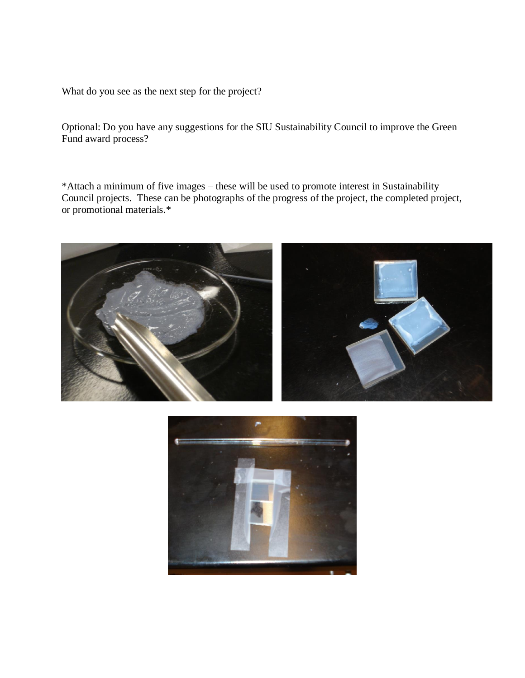What do you see as the next step for the project?

Optional: Do you have any suggestions for the SIU Sustainability Council to improve the Green Fund award process?

\*Attach a minimum of five images – these will be used to promote interest in Sustainability Council projects. These can be photographs of the progress of the project, the completed project, or promotional materials.\*



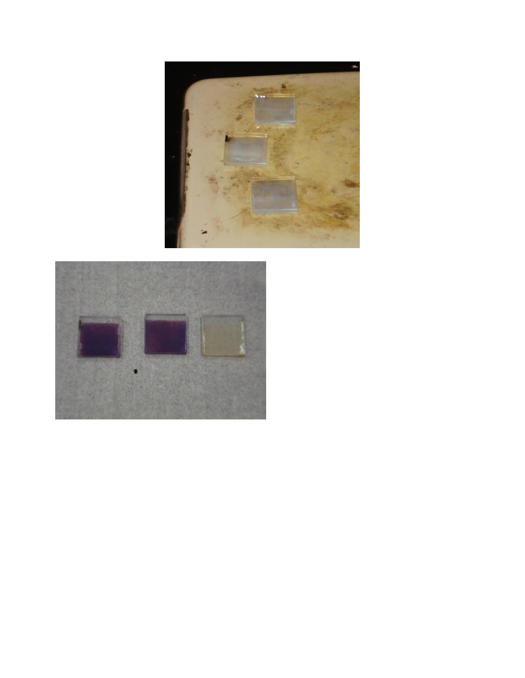